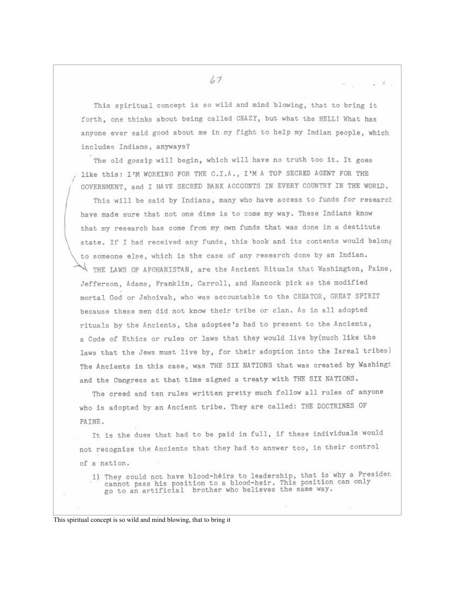$67$ 

This spiritual concept is so wild and mind blowing, that to bring it forth, one thinks about being called CRAZY, but what the HELL! What has anvone ever said good about me in my fight to help my Indian people, which includes Indians, anyways?

 $\mathcal{A}$ 

The old gossip will begin, which will have no truth too it. It goes like this: I'M WORKING FOR THE C.I.A., I'M A TOP SECRED AGENT FOR THE GOVERNMENT, and I HAVE SECRED BANK ACCOUNTS IN EVERY COUNTRY IN THE WORLD.

This will be said by Indians, many who have access to funds for research have made sure that not one dime is to come my way. These Indians know that my research has come from my own funds that was done in a destitute state. If I had received any funds, this book and its contents would belong to someone else, which is the case of any research done by an Indian. THE LAWS OF AFGHANISTAN, are the Ancient Rituals that Washington, Paine, Jefferson, Adams, Franklin, Carroll, and Hancock pick as the modified mortal God or Jehoivah, who was accountable to the CREATOR, GREAT SPIRIT because these men did not know their tribe or clan. As in all adopted rituals by the Ancients, the adoptee's had to present to the Ancients, a Code of Ethics or rules or laws that they would live by (much like the laws that the Jews must live by, for their adoption into the Isreal tribes) The Ancients in this case, was THE SIX NATIONS that was created by Washingt and the Congress at that time signed a treaty with THE SIX NATIONS.

The creed and ten rules written pretty much follow all rules of anyone who is adopted by an Ancient tribe. They are called: THE DOCTRINES OF PAINE.

It is the dues that had to be paid in full, if these individuals would not recognize the Ancients that they had to answer too, in their control of a nation.

1) They could not have blood-heirs to leadership, that is why a Presiden cannot pass his position to a blood-heir. This position can only go to an artificial brother who believes the same way.

This spiritual concept is so wild and mind blowing, that to bring it